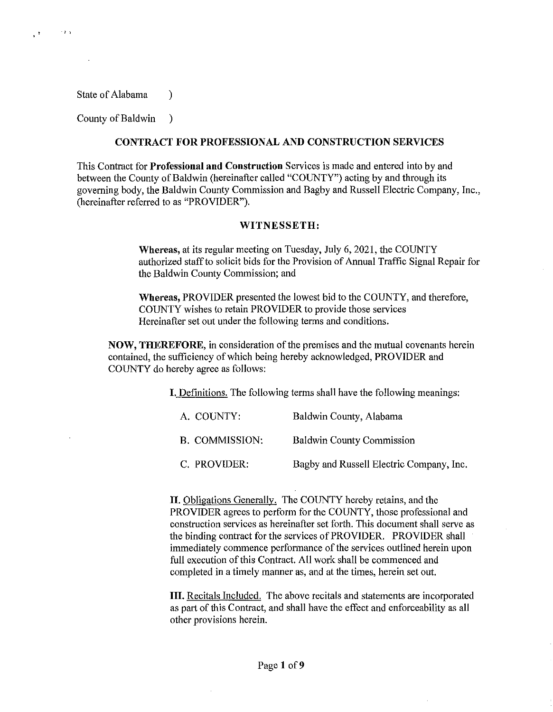State of Alabama (1)

 $\cdots$ 

 $\mathcal{C}^{\mathcal{A}}$ 

County of Baldwin )

### **CONTRACT FOR PROFESSIONAL AND CONSTRUCTION SERVICES**

This Contract for **Professional and Construction** Services is made and entered into by and between the County of Baldwin (hereinafter called "COUNTY") acting by and through its governing body, the Baldwin County Commission and Bagby and Russell Electric Company, Inc., (hereinafter referred to as "PROVIDER").

### **WITNESSETH:**

**Whereas,** at its regular meeting on Tuesday, July 6, 2021, the COUNTY authorized staff to solicit bids for the Provision of Annual Traffic Signal Repair for the Baldwin County Commission; and

**Whereas,** PROVIDER presented the lowest bid to the COUNTY, and therefore, COUNTY wishes to retain PROVIDER to provide those services Hereinafter set out under the following terms and conditions.

**NOW, THEREFORE,** in consideration of the premises and the mutual covenants herein contained, the sufficiency of which being hereby acknowledged, PROVIDER and COUNTY do hereby agree as follows:

I. Definitions. The following terms shall have the following meanings:

| A. COUNTY:     | Baldwin County, Alabama          |
|----------------|----------------------------------|
| B. COMMISSION: | <b>Baldwin County Commission</b> |

C. PROVIDER: Bagby and Russell Electric Company, Inc.

**II.** Obligations Generally. The COUNTY hereby retains, and the PROVIDER agrees to perform for the COUNTY, those professional and construction services as hereinafter set forth. This document shall serve as the binding contract for the services of PROVIDER. PROVIDER shall immediately commence performance of the services outlined herein upon full execution of this Contract. All work shall be commenced and completed in a timely manner as, and at the times, herein set out.

**III.** Recitals Included. The above recitals and statements are incorporated as part of this Contract, and shall have the effect and enforceability as all other provisions herein.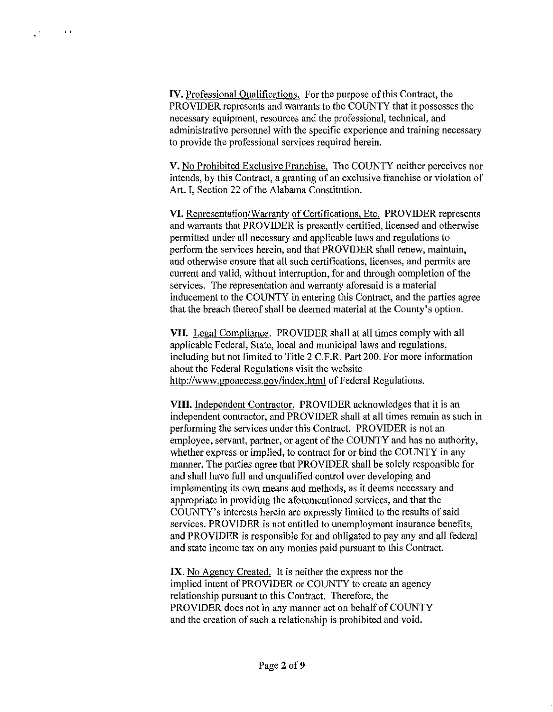$\sim$  3  $\,$  k

IV. Professional Qualifications. For the purpose of this Contract, the PROVIDER represents and warrants to the COUNTY that it possesses the necessary equipment, resources and the professional, technical, and administrative personnel with the specific experience and training necessary to provide the professional services required herein.

V. No Prohibited Exclusive Franchise. The COUNTY neither perceives nor intends, by this Contract, a granting of an exclusive franchise or violation of Art. I, Section 22 of the Alabama Constitution.

VI. Representation/Warranty of Certifications, Etc. PROVIDER represents and warrants that PROVIDER is presently certified, licensed and otherwise permitted under all necessary and applicable laws and regulations to perform the services herein, and that PROVIDER shall renew, maintain, and otherwise ensure that all such certifications, licenses, and permits are current and valid, without interruption, for and through completion of the services. The representation and warranty aforesaid is a material inducement to the COUNTY in entering this Contract, and the parties agree that the breach thereof shall be deemed material at the County's option.

VII. Legal Compliance. PROVIDER shall at all times comply with all applicable Federal, State, local and municipal laws and regulations, including but not limited to Title 2 C.F.R. Part 200. For more information about the Federal Regulations visit the website http://www.gpoaccess.gov/index.html of Federal Regulations.

VIII. Independent Contractor. PROVIDER acknowledges that it is an independent contractor, and PROVIDER shall at all times remain as such in performing the services under this Contract. PROVIDER is not an employee, servant, partner, or agent of the COUNTY and has no authority, whether express or implied, to contract for or bind the COUNTY in any manner. The parties agree that PROVIDER shall be solely responsible for and shall have full and unqualified control over developing and implementing its own means and methods, as it deems necessary and appropriate in providing the aforementioned services, and that the COUNTY's interests herein are expressly limited to the results of said services. PROVIDER is not entitled to unemployment insurance benefits, and PROVIDER is responsible for and obligated to pay any and all federal and state income tax on any monies paid pursuant to this Contract.

IX. No Agency Created. It is neither the express nor the implied intent of PROVIDER or COUNTY to create an agency relationship pursuant to this Contract. Therefore, the PROVIDER does not in any manner act on behalf of COUNTY and the creation of such a relationship is prohibited and void.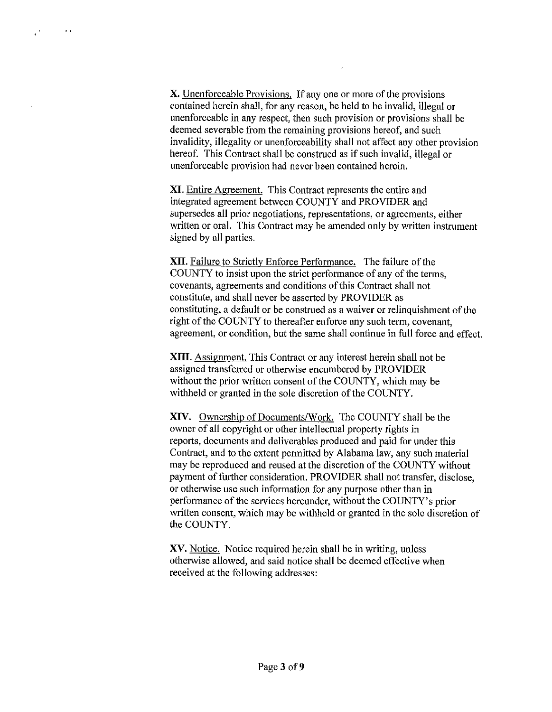**X.** Unenforceable Provisions. If any one or more of the provisions contained herein shall, for any reason, be held to be invalid, illegal or unenforceable in any respect, then such provision or provisions shall be deemed severable from the remaining provisions hereof, and such invalidity, illegality or unenforceability shall not affect any other provision hereof. This Contract shall be construed as if such invalid, illegal or unenforceable provision had never been contained herein.

 $\sim$   $\sim$ 

 $\mathbf{r}^{\mathbf{r}}$ 

**XI.** Entire Agreement. This Contract represents the entire and integrated agreement between COUNTY and PROVIDER and supersedes all prior negotiations, representations, or agreements, either written or oral. This Contract may be amended only by written instrument signed by all parties.

**XII.** Failure to Strictly Enforce Performance. The failure of the COUNTY to insist upon the strict performance of any of the terms, covenants, agreements and conditions of this Contract shall not constitute, and shall never be asserted by PROVIDER as constituting, a default or be construed as a waiver or relinquishment of the right of the COUNTY to thereafter enforce any such term, covenant, agreement, or condition, but the same shall continue in full force and effect.

**XIII.** Assignment. This Contract or any interest herein shall not be assigned transferred or otherwise encumbered by PROVIDER without the prior written consent of the COUNTY, which may be withheld or granted in the sole discretion of the COUNTY.

**XIV.** Ownership of Documents/Work. The COUNTY shall be the owner of all copyright or other intellectual property rights in reports, documents and deliverables produced and paid for under this Contract, and to the extent permitted by Alabama law, any such material may be reproduced and reused at the discretion of the COUNTY without payment of further consideration. PROVIDER shall not transfer, disclose, or otherwise use such information for any purpose other than in performance of the services hereunder, without the COUNTY's prior written consent, which may be withheld or granted in the sole discretion of the COUNTY.

**XV.** Notice. Notice required herein shall be in writing, unless otherwise allowed, and said notice shall be deemed effective when received at the following addresses: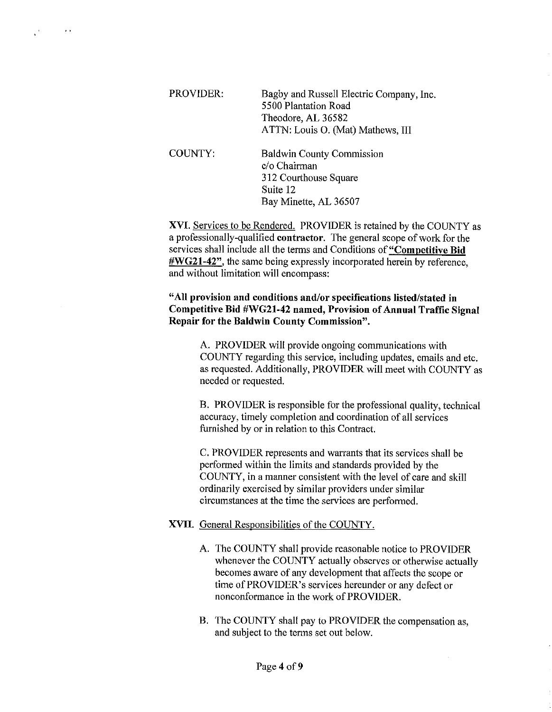| PROVIDER: | Bagby and Russell Electric Company, Inc.<br>5500 Plantation Road<br>Theodore, AL 36582<br>ATTN: Louis O. (Mat) Mathews, III |
|-----------|-----------------------------------------------------------------------------------------------------------------------------|
| COUNTY:   | <b>Baldwin County Commission</b><br>c/o Chairman<br>312 Courthouse Square                                                   |

Bay Minette, AL 36507

Suite 12

 $\mathcal{E}$ 

 $\sim$   $\sim$ 

**XVI.** Services to be Rendered. PROVIDER is retained by the COUNTY as a professionally-qualified **contractor.** The general scope of work for the services shall include all the terms and Conditions **of"Competitive Bid #WG21-42",** the same being expressly incorporated herein by reference, and without limitation will encompass:

### **"All provision and conditions and/or specifications listed/stated in Competitive Bid #WG21-42 named, Provision of Annual Traffic Signal Repair for the Baldwin County Commission".**

A. PROVIDER will provide ongoing communications with COUNTY regarding this service, including updates, emails and etc. as requested. Additionally, PROVIDER will meet with COUNTY as needed or requested.

B. PROVIDER is responsible for the professional quality, technical accuracy, timely completion and coordination of all services furnished by or in relation to this Contract.

C. PROVIDER represents and warrants that its services shall be performed within the limits and standards provided by the COUNTY, in a manner consistent with the level of care and skill ordinarily exercised by similar providers under similar circumstances at the time the services are performed.

### **XVII.** General Responsibilities of the COUNTY.

- A. The COUNTY shall provide reasonable notice to PROVIDER whenever the COUNTY actually observes or otherwise actually becomes aware of any development that affects the scope or time of PROVIDER's services hereunder or any defect or nonconformance in the work of PROVIDER.
- **B.** The COUNTY shall pay to PROVIDER the compensation as, and subject to the terms set out below.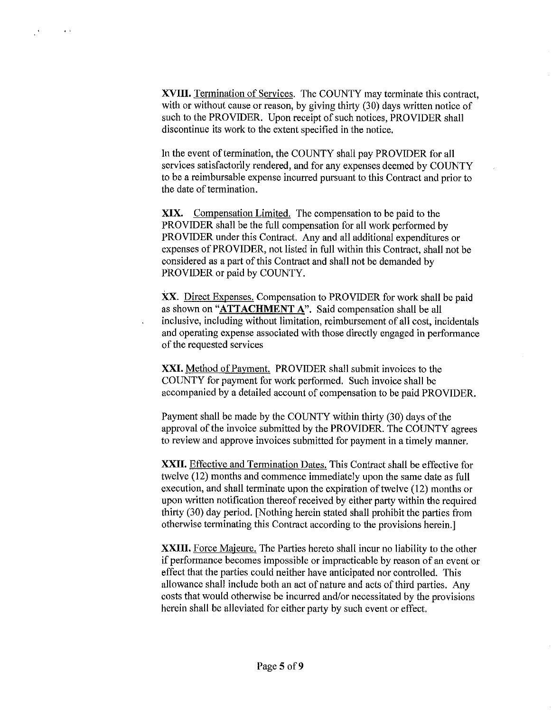**XVIII.** Termination of Services. The COUNTY may terminate this contract, with or without cause or reason, by giving thirty (30) days written notice of such to the PROVIDER. Upon receipt of such notices, PROVIDER shall discontinue its work to the extent specified in the notice.

 $\mathbb{R}^3$ 

 $\sim$  10  $\pm$ 

In the event of termination, the COUNTY shall pay PROVIDER for all services satisfactorily rendered, and for any expenses deemed by COUNTY to be a reimbursable expense incurred pursuant to this Contract and prior to the date of termination.

**XIX.** Compensation Limited. The compensation to be paid to the PROVIDER shall be the full compensation for all work performed by PROVIDER under this Contract. Any and all additional expenditures or expenses of PROVIDER, not listed in full within this Contract, shall not be considered as a part of this Contract and shall not be demanded by PROVIDER or paid by COUNTY.

XX. Direct Expenses. Compensation to PROVIDER for work shall be paid as shown on **"ATTACHMENT** A". Said compensation shall be all inclusive, including without limitation, reimbursement of all cost, incidentals and operating expense associated with those directly engaged in performance of the requested services

**XXI.** Method of Payment. PROVIDER shall submit invoices to the COUNTY for payment for work performed. Such invoice shall be accompanied by a detailed account of compensation to be paid PROVIDER.

Payment shall be made by the COUNTY within thirty (30) days of the approval of the invoice submitted by the PROVIDER. The COUNTY agrees to review and approve invoices submitted for payment in a timely manner.

**XXII.** Effective and Termination Dates. This Contract shall be effective for twelve (12) months and commence immediately upon the same date as full execution, and shall terminate upon the expiration of twelve (12) months or upon written notification thereof received by either party within the required thirty (30) day period. [Nothing herein stated shall prohibit the parties from otherwise terminating this Contract according to the provisions herein.]

**XXIII.** Force Majeure. The Parties hereto shall incur no liability to the other if performance becomes impossible or impracticable by reason of an event or effect that the parties could neither have anticipated nor controlled. This allowance shall include both an act of nature and acts of third parties. Any costs that would otherwise be incurred and/or necessitated by the provisions herein shall be alleviated for either party by such event or effect.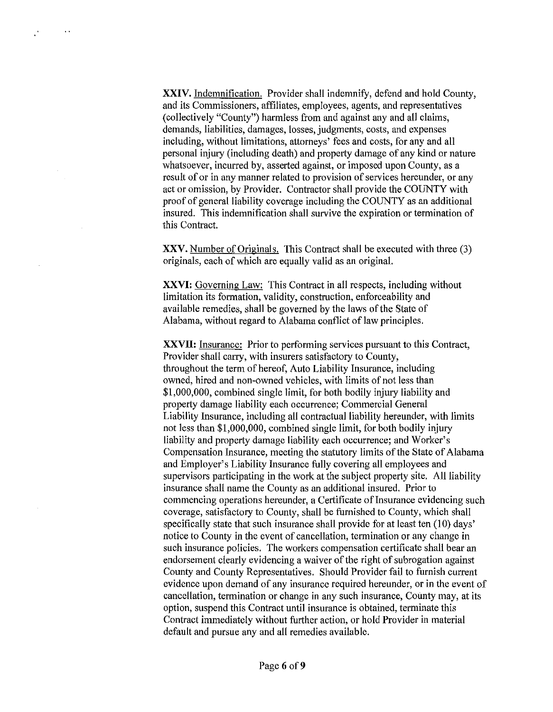**XXIV.** Indemnification. Provider shall indemnify, defend and hold County, and its Commissioners, affiliates, employees, agents, and representatives (collectively "County") harmless from and against any and all claims, demands, liabilities, damages, losses, judgments, costs, and expenses including, without limitations, attorneys' fees and costs, for any and all personal injury (including death) and property damage of any kind or nature whatsoever, incurred by, asserted against, or imposed upon County, as a result of or in any manner related to provision of services hereunder, or any act or omission, by Provider. Contractor shall provide the COUNTY with proof of general liability coverage including the COUNTY as an additional insured. This indemnification shall survive the expiration or termination of this Contract.

 $\bar{\alpha}$ 

 $\mathbf{r}^{\prime}$ 

**XXV.** Number of Originals. This Contract shall be executed with three (3) originals, each of which are equally valid as an original.

**XXVI:** Governing Law: This Contract in all respects, including without limitation its formation, validity, construction, enforceability and available remedies, shall be governed by the laws of the State of Alabama, without regard to Alabama conflict of law principles.

**XXVII:** Insurance: Prior to performing services pursuant to this Contract, Provider shall carry, with insurers satisfactory to County, throughout the term of hereof, Auto Liability Insurance, including owned, hired and non-owned vehicles, with limits of not less than \$1,000,000, combined single limit, for both bodily injury liability and property damage liability each occurrence; Commercial General Liability Insurance, including all contractual liability hereunder, with limits not less than \$1,000,000, combined single limit, for both bodily injury liability and property damage liability each occurrence; and Worker's Compensation Insurance, meeting the statutory limits of the State of Alabama and Employer's Liability Insurance fully covering all employees and supervisors participating in the work at the subject property site. All liability insurance shall name the County as an additional insured. Prior to commencing operations hereunder, a Certificate of Insurance evidencing such coverage, satisfactory to County, shall be furnished to County, which shall specifically state that such insurance shall provide for at least ten (10) days' notice to County in the event of cancellation, termination or any change in such insurance policies. The workers compensation certificate shall bear an endorsement clearly evidencing a waiver of the right of subrogation against County and County Representatives. Should Provider fail to furnish current evidence upon demand of any insurance required hereunder, or in the event of cancellation, termination or change in any such insurance, County may, at its option, suspend this Contract until insurance is obtained, terminate this Contract immediately without further action, or hold Provider in material default and pursue any and all remedies available.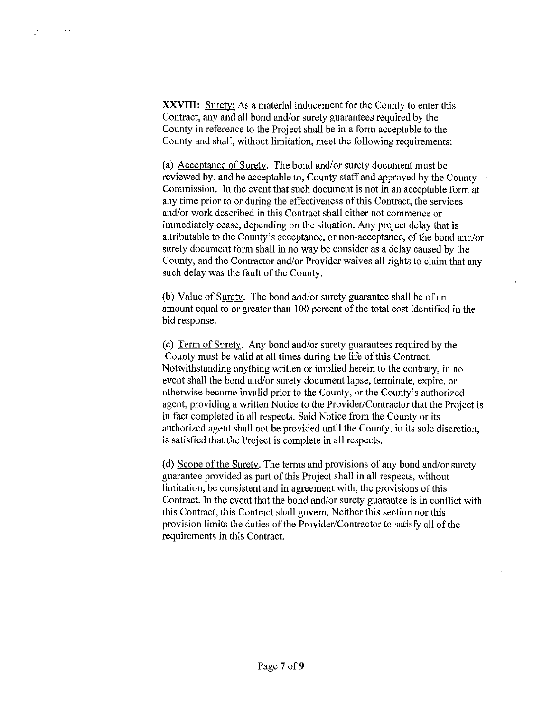**XXVIII:** Surety: As a material inducement for the County to enter this Contract, any and all bond and/or surety guarantees required by the County in reference to the Project shall be in a form acceptable to the County and shall, without limitation, meet the following requirements:

 $\ddot{\phantom{a}}$ 

(a) Acceptance of Surety. The bond and/or surety document must be reviewed by, and be acceptable to, County staff and approved by the County Commission. In the event that such document is not in an acceptable form at any time prior to or during the effectiveness of this Contract, the services and/or work described in this Contract shall either not commence or immediately cease, depending on the situation. Any project delay that is attributable to the County's acceptance, or non-acceptance, of the bond and/or surety document form shall in no way be consider as a delay caused by the County, and the Contractor and/or Provider waives all rights to claim that any such delay was the fault of the County.

(b) Value of Surety. The bond and/or surety guarantee shall be of an amount equal to or greater than I 00 percent of the total cost identified in the bid response.

(c) Term of Surety. Any bond and/or surety guarantees required by the County must be valid at all times during the life of this Contract. Notwithstanding anything written or implied herein to the contrary, in no event shall the bond and/or surety document lapse, terminate, expire, or otherwise become invalid prior to the County, or the County's authorized agent, providing a written Notice to the Provider/Contractor that the Project is in fact completed in all respects. Said Notice from the County or its authorized agent shall not be provided until the County, in its sole discretion, is satisfied that the Project is complete in all respects.

(d) Scope of the Surety. The terms and provisions of any bond and/or surety guarantee provided as part of this Project shall in all respects, without limitation, be consistent and in agreement with, the provisions of this Contract. In the event that the bond and/or surety guarantee is in conflict with this Contract, this Contract shall govern. Neither this section nor this provision limits the duties of the Provider/Contractor to satisfy all of the requirements in this Contract.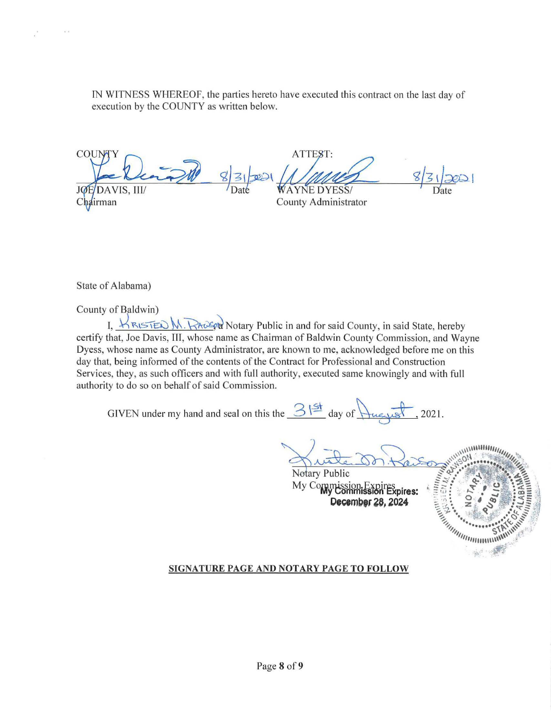IN WITNESS WHEREOF, the patties hereto have executed this contract on the last day of execution by the COUNTY as written below.

COUN JØF DAVIS, III/

Chairman

 $\epsilon > 0$ 

**WAYNE DYESS/** 

ATTEST:

County Administrator

State of Alabama)

County of Baldwin)

I,  $\forall R \in \text{IED M}$ .  $\forall R \in \text{IQ}$  Notary Public in and for said County, in said State, hereby certify that, Joe Davis, III, whose name as Chairman of Baldwin County Commission, and Wayne Dyess, whose name as County Administrator, are known to me, acknowledged before me on this day that, being informed of the contents of the Contract for Professional and Construction Services, they, as such officers and with full authority, executed same knowingly and with full authority to do so on behalf of said Commission.

GIVEN under my hand and seal on this the  $\frac{3!^{\frac{31}{4}}}{\frac{3}{2}}$  day of  $\frac{1}{\sqrt{2}}$ , 2021.

Notary Public

My Commission **Expires:** December 28, 2024



### SIGNATURE PAGE AND NOTARY PAGE TO FOLLOW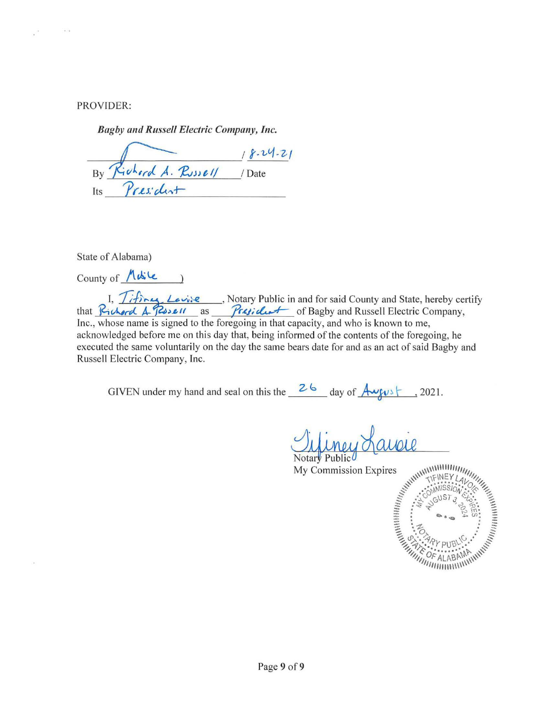PROVIDER:

 $\frac{1}{\left\vert \mathbf{a}\right\vert ^{2}}$ 

 $\left( \begin{array}{c} 0 \\ 0 \end{array} \right)$ 

*Bagby and Russell Electric Company, Inc.* 

<u>By Richard A. Russell</u> / Date Its *President* 

State of Alabama)

 $Country of$   $M\&c$  )

I, *Tifines, Levise*, Notary Public in and for said County and State, hereby certify that *Richard A- Rosell* as *President* of Bagby and Russell Electric Company, Inc., whose name is signed to the foregoing in that capacity, and who is known to me, acknowledged before me on this day that, being informed of the contents of the foregoing, he executed the same voluntarily on the day the same bears date for and as an act of said Bagby and Russell Electric Company, Inc.

GIVEN under my hand and seal on this the  $\frac{26}{4}$  day of  $\frac{A_{\text{avg}}}{2}$ , 2021.

My Commission Expires

**CUDIL SURVEY LAVENS SERVED AT AN ALABAM** *Minimum*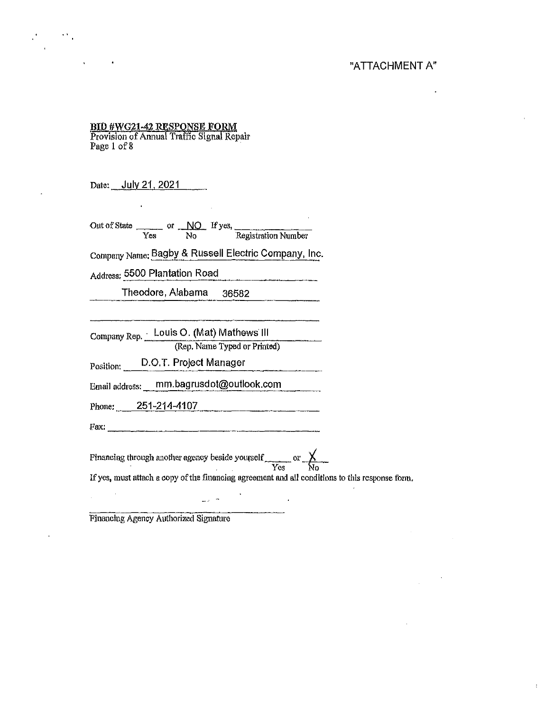### "ATTACHMENT A"

# BID #WG21-42 RESPONSE FORM<br>Provision of Annual Traffic Signal Repair

Page 1 of 8

Date: July 21, 2021

Out of State  $\frac{NQ}{\text{Yes}}$  or  $\frac{NQ}{NQ}$  If yes, Registration Number

Company Name: Bagby & Russell Electric Company, Inc.

Address: 5500 Plantation Road

Theodore, Alabama 36582

Company Rep. Louis O. (Mat) Mathews' III (Rep. Name Typed or Printed)

Position: D.0.T. Project Manager

Email addmss: mm.bagrusdot@oullook.com

Phone: 251-214-4107

Fax:------------

 $\Delta \omega \simeq 0$ 

Financing through another agency beside yourself  $\frac{\chi}{\text{Yes}}$  or  $\frac{\chi}{\text{No}}$ If yes, must attach a copy of the financing agreement and all conditions to this response form.

 $\overline{\phantom{a}}$ 

Financing Agency Authorized Signature

 $\mathcal{L}$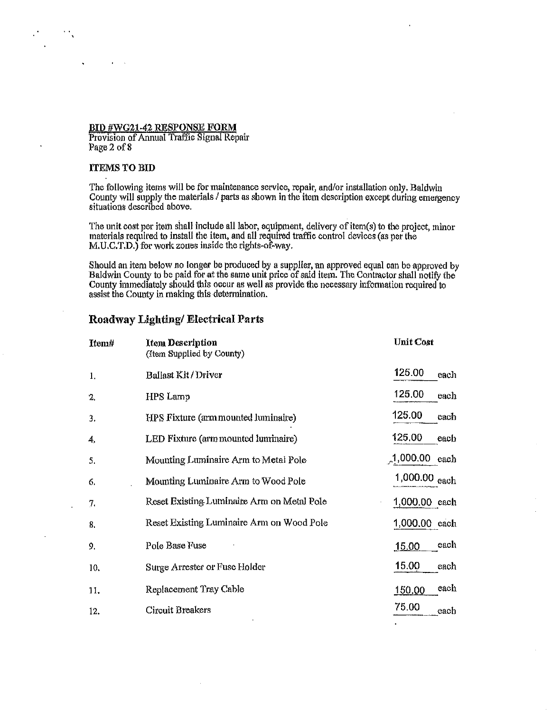**BID #WG21-42 RESPONSE FORM**<br>Provision of Annual Traffic Signal Repair Page 2 of 8

### ITEMS TO BID

The following items will be for maintenance service, repair, and/or installation only. Baldwin County will supply the materials / parts as shown in the item description except during emergency situations described above.

The unit cost per item shall include all labor, equipment, delivery of item(s) to the project, minor materials required to install the item, and all required traffic control devices (as per the M.U.C.T.D.) for work zones inside the rights-of-way.

Should an item below no longer be produced by a supplier, an approved equal can be approved by Baldwin County to be paid for at the same unit price of said item. The Contractor shall notify the County immediately should this occur as well as provide the necessary information required to assist the County in making this determination.

### Roadway Lighting/ Electrical Parts

| Item# | <b>Item Description</b><br>(Item Supplied by County) | <b>Unit Cost</b>      |
|-------|------------------------------------------------------|-----------------------|
| 1,    | Ballast Kit / Driver                                 | 125.00<br>each        |
| 2.    | HPS Lamp                                             | 125,00<br>each        |
| 3.    | HPS Fixture (arm mounted luminaire)                  | 125.00<br>each        |
| 4.    | LED Fixture (arm mounted luminaire)                  | 125,00<br>each        |
| 5.    | Mounting Luminaire Arm to Metal Pole                 | $1,000.00$ each       |
| -6.   | Mounting Luminaire Arm to Wood Pole                  | 1,000.00 each         |
| 7.    | Reset Existing Luminaire Arm on Metal Pole           | 1,000.00 each         |
| 8.    | Reset Existing Luminaire Arm on Wood Pole            | 1,000.00 each         |
| 9.    | Pole Base Fuse                                       | each,<br><u>15.00</u> |
| 10.   | Surge Arrester or Fuse Holder                        | 15.00<br>each         |
| 11.   | Replacement Tray Cable                               | each<br>150.00        |
| 12.   | Circuit Breakers                                     | 75.00<br>each         |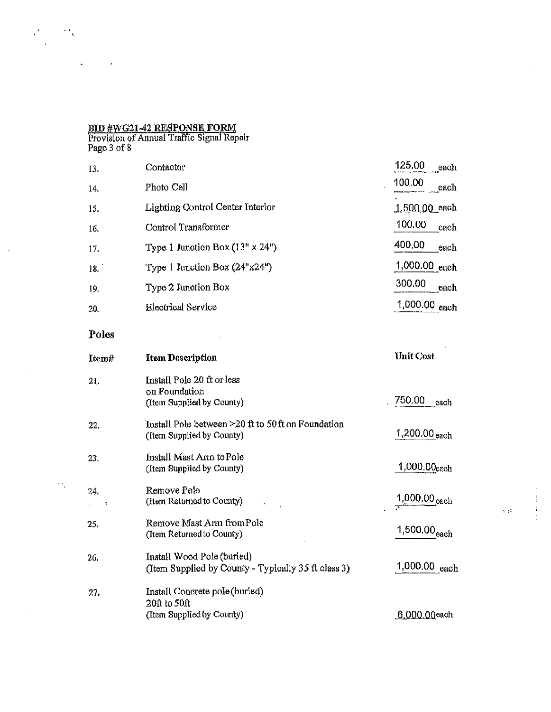### BlD #WG21-42 RESPONSE FORM

 $\mathcal{F}_{\mathcal{A}}$ 

 $\mathcal{L}_{\mathcal{A}}$ 

l.

 $\epsilon^2$ 

Provision of Annual Traffic Signal Repair Page 3 of 8

| 13.   | Contactor                                                                         | 125.00<br>each           |
|-------|-----------------------------------------------------------------------------------|--------------------------|
| 14.   | Photo Cell                                                                        | 100.00<br>each           |
| 15.   | <b>Lighting Control Center Interior</b>                                           | 1.500.00 each            |
| 16.   | Control Transformer                                                               | 100.00<br>each           |
| 17.   | Type 1 Junction Box $(13n \times 24n)$                                            | 400.00<br>each           |
| 18.   | Type 1 Junction Box $(24"x24")$                                                   | 1,000.00 each            |
| 19.   | Type 2 Junction Box                                                               | 300.00<br>each           |
| 20.   | <b>Electrical Service</b>                                                         | 1,000.00 each            |
| Poles |                                                                                   |                          |
| Item# | <b>Item Description</b>                                                           | <b>Unit Cost</b>         |
| 21.   | Install Pole 20 ft or less<br>on Foundation<br>(Item Supplied by County)          | 750.00<br>each           |
| 22.   | Install Pole between $>20$ ft to 50 ft on Foundation<br>(Item Supplied by County) | 1,200.00 each            |
| 23.   | Install Mast Arm to Pole<br>(Item Supplied by County)                             | 1,000.00each             |
| 24.   | Remove Pole<br>(Item Returned to County)                                          | 1,000.00 <sub>each</sub> |
| 25.   | Remove Mast Arm from Pole<br>(Item Returned to County)                            | 1,500.00 <sub>each</sub> |
| 26.   | Install Wood Pole (buried)<br>(Item Supplied by County - Typically 35 ft class 3) | 1,000.00 each            |
| 27.   | Install Concrete pole (buried)<br>20ft to 50ft<br>(Item Supplied by County)       | 6.000.00each             |

 $\sim$ 

 $\mathfrak{i}$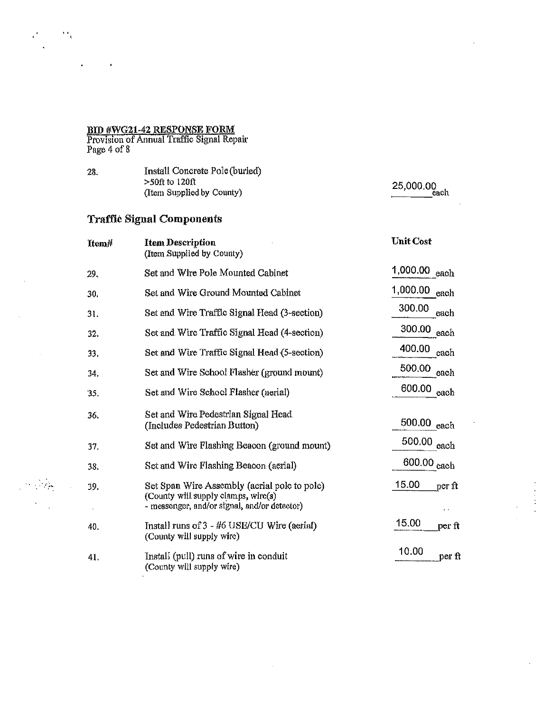### .BID #WG21-42 RESPONSE FORM

Provision of Annual Traffic Signal Repair Page 4 of 8

28. Install Concrete Pole(buried) >50ft to 120ft (Item Supplied by County)

Traffic Signal Components

# 25,000.00<br>
each

#### Unit Cost Item# Item Description (Item Supplied by County) 1,000.00 each Set and Wire Pole Mounted Cabinet 29. 1,000.00 each Set and Wire Ground Mounted Cabinet 30. 300.00 each Set and Wire Traffic Signal Head (3-section) 31. 300.00 each Set and Wire Traffic Signal Head ( 4-section) 32. 400.00 each Set and Wire Traffic Signal Head {5-section) 33. 500.00 each Set and Wire School Flasher (ground mount) 34. 600.00 each Set and Wire School Flasher (aerial) 35. Set and Wire Pedestrian Signal Head 36. 500.00 each (Includes Pedestrian Button) 500.00 each Set and Wire Flashing Beacon (ground mount) 37. 600.00 each Set and Wire Flashing Beacon (aerial) 38. 15.00 per ft Set Span Wire Assembly (aerial pole to pole) 39 • (County will supply clamps, wire $(s)$ ) - messenger, and/or signal, and/or detector)  $\bar{z}$ 15.00  $\frac{1}{\text{per ft}}$ Install runs of3 - #6 USE/CU Wire (aerial) 40. (County will supply wire) 10.00 per ft Install (pull) runs of wire in conduit 41. (County will supply wire)

. . . :' *:;,,,*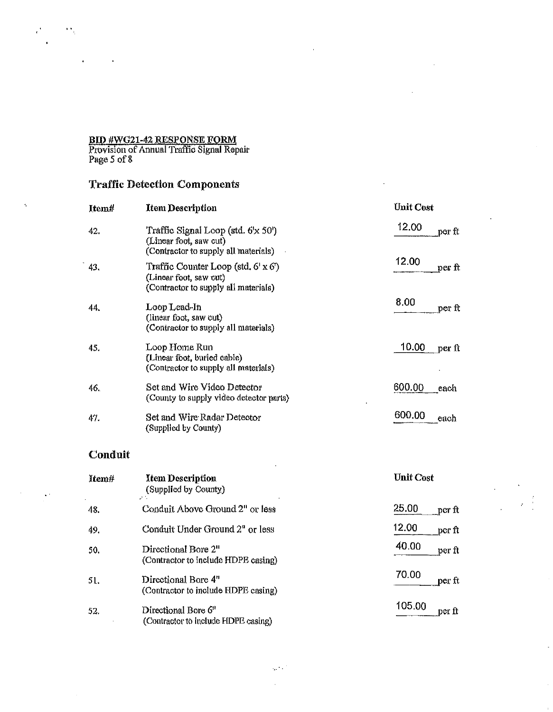### <u>BID #WG21-42 RESPONSE FORM</u>

 $\overline{\Omega}_0$ 

 $\bullet$ 

Provision of Annual Traffic Signal Repair Page *5* of 8

# Traffic Detection Components

| Item# | <b>Item Description</b>                                                                                       | <b>Unit Cost</b> |
|-------|---------------------------------------------------------------------------------------------------------------|------------------|
| 42.   | Traffic Signal Loop (std. 6'x 50')<br>(Linear foot, saw cut)<br>(Contractor to supply all materials)          | 12.00<br>per ft  |
| 43.   | Traffic Counter Loop (std. $6' \times 6'$ )<br>(Linear foot, saw cut)<br>(Contractor to supply all materials) | 12.00<br>perft   |
| 44.   | Loop Lead-In<br>(linear foot, saw cut)<br>(Contractor to supply all materials)                                | 8.00<br>per ft   |
| 45.   | Loop Home Run<br>(Linear foot, buried cable)<br>(Contractor to supply all materials)                          | 10.00<br>per ft  |
| 16.   | Set and Wire Video Detector<br>(County to supply video detector parts)                                        | 600.00<br>each   |
| 47.   | Set and Wire Radar Detector<br>(Supplied by County)                                                           | 600.00<br>each   |

## Conduit

 $\mathcal{L}^{\mathcal{L}}$ 

| Item# | <b>Item Description</b><br>(Supplied by County)<br>$\mathcal{L}^{\mathcal{A}}$ . | <b>Unit Cost</b>     |
|-------|----------------------------------------------------------------------------------|----------------------|
| 48.   | Conduit Above Ground 2" or less                                                  | 25.00<br>per ft      |
| 49.   | Conduit Under Ground 2" or less                                                  | 12.00<br>per ft      |
| 50.   | Directional Bore 2"<br>(Contractor to include HDPE casing)                       | 40.00<br>per ft      |
| 51.   | Directional Bore 4"<br>(Contractor to include HDPE casing)                       | 70.00<br>$per \, ft$ |
| 52.   | Directional Bore 6"<br>(Contractor to include HDPE casing)                       | 105.00<br>per ft     |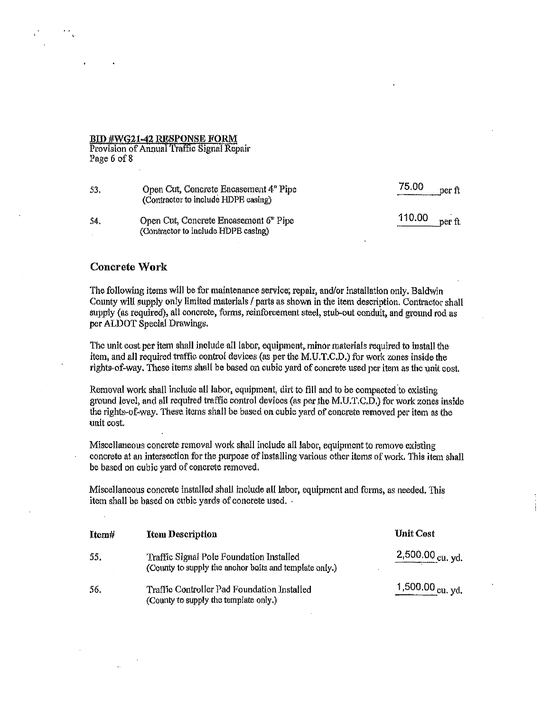### BID #WG21·42 RESPONSE FORM

Provision of Annual Traffic Signal Repair Page 6 of 8

| -53. | Open Cut, Concrete Encasement 4 <sup>°</sup> Pipe<br>(Contractor to include HDPE casing) | 75,00<br>per ft  |
|------|------------------------------------------------------------------------------------------|------------------|
| -54. | Open Cut, Concrete Encasement 6" Pipe<br>(Contractor to include HDPE casing)             | 110.00<br>per ft |

### Concrete Work

The following items will be for maintenance service, repair, and/or installation only. Baldwin County will supply only limited materials / parts as shown in the item description. Contractor shall supply (as required), all concrete, forms, reinforcement steel, stub-out conduit, and ground rod as per ALDOT Special Drawings.

The unit cost per item shall include all labor, equipment, minor materials required to install the item, and all required traffic control devices (as per the M.U.T.C.D.) for work zones inside the rights-of-way. These items shall be based on cubic yard of concrete used per item as the unit cost.

Removal work shall include all labor, equipment, dirt to fill and to be compacted to existing ground level, and all required traffic control devices (as per the M.U.T.C.D.) for work zones inside the rights-of-way. These items shall be based on cubic yard of concrete removed per item as tbe unit cost.

Miscellaneous concrete removal work shall include all labor, equipment to remove existing concrete at an intersection for the purpose of installing various other items of work. This item shall be based on cubic yard of concrete removed.

Miscellaneous concrete installed shall include all labor, equipment and forms, as needed. This item shall be based on cubic yards of concrete used. ·

| Item# | <b>Item Description</b>                                                                            | <b>Unit Cost</b>   |
|-------|----------------------------------------------------------------------------------------------------|--------------------|
| 55.   | Traffic Signal Pole Foundation Installed<br>(County to supply the anchor bolts and template only.) | $2,500.00$ cu, yd. |
| -56,  | Traffic Controller Pad Foundation Installed<br>(County to supply the template only.)               | 1,500.00 cu, yd.   |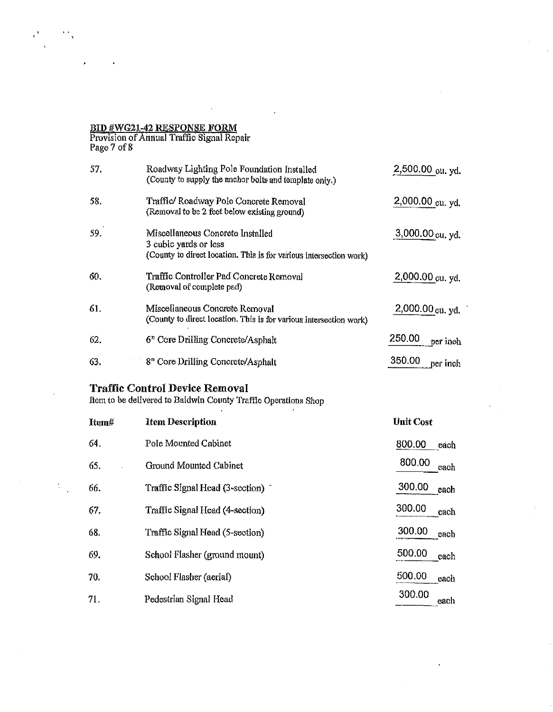### BID #WG21-42 RESPONSE FORM

 $\epsilon$ <sup>t</sup>

 $\sim 5\%$ 

Provision of Amiual Traffic Signal Repair Page 7 of 8

| <b>Traffic Control Device Removal</b> |                                                                                                                                 |                    |
|---------------------------------------|---------------------------------------------------------------------------------------------------------------------------------|--------------------|
| 63.                                   | 8" Core Drilling Concrete/Asphalt                                                                                               | 350.00<br>per inch |
| 62.                                   | 6" Core Drilling Concrete/Asphalt                                                                                               | 250.00<br>per inch |
| 61.                                   | Miscellaneous Concrete Removal<br>(County to direct location. This is for various intersection work)                            | 2,000.00 cu, yd.   |
| 60.                                   | Traffic Controller Pad Concrete Removal<br>(Removal of complete pad)                                                            | 2,000.00 cu. yd.   |
| 59.                                   | Miscellaneous Concrete Installed<br>3 cubic yards or less<br>(County to direct location. This is for various intersection work) | 3,000.00 cu, yd.   |
| 58.                                   | Traffic/ Roadway Pole Concrete Removal<br>(Removal to be 2 feet below existing ground)                                          | 2,000.00 cu. yd.   |
| 57.                                   | Roadway Lighting Pole Foundation Installed<br>(County to supply the anchor bolts and template only.)                            | 2,500.00 cu. yd.   |

ftem to be delivered to Baldwin County Traffic Operations Shop

| Item# | <b>Item Description</b>         | <b>Unit Cost</b> |
|-------|---------------------------------|------------------|
| 64.   | Pole Mounted Cabinet            | 800.00<br>each   |
| 65.   | Ground Mounted Cabinet          | 800.00<br>each   |
| 66.   | Traffic Signal Head (3-section) | 300.00<br>each   |
| 67.   | Traffic Signal Head (4-section) | 300.00<br>each   |
| 68.   | Traffic Signal Head (5-section) | 300.00<br>each   |
| 69.   | School Flasher (ground mount)   | 500.00<br>each   |
| 70.   | School Flasher (aerial)         | 500.00<br>each   |
| 71.   | Pedestrian Signal Head          | 300.00<br>each   |

 $\mathbf{r}$